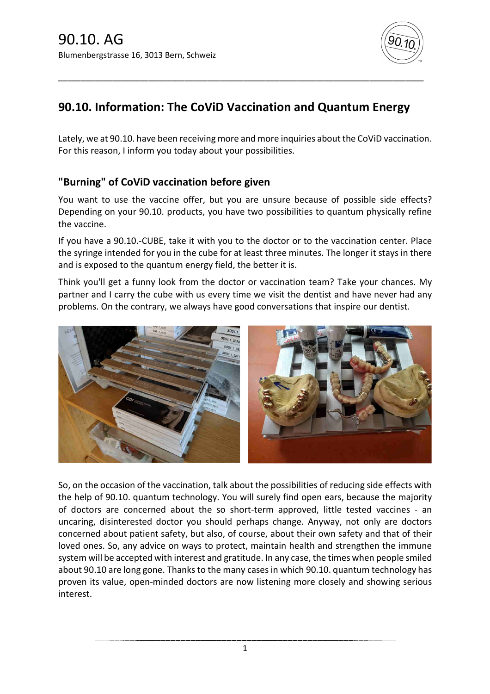

## **90.10. Information: The CoViD Vaccination and Quantum Energy**

\_\_\_\_\_\_\_\_\_\_\_\_\_\_\_\_\_\_\_\_\_\_\_\_\_\_\_\_\_\_\_\_\_\_\_\_\_\_\_\_\_\_\_\_\_\_\_\_\_\_\_\_\_\_\_\_\_\_\_\_\_\_\_\_\_\_\_\_\_\_\_\_\_\_\_\_\_\_\_\_\_

Lately, we at 90.10. have been receiving more and more inquiries about the CoViD vaccination. For this reason, I inform you today about your possibilities.

## **"Burning" of CoViD vaccination before given**

You want to use the vaccine offer, but you are unsure because of possible side effects? Depending on your 90.10. products, you have two possibilities to quantum physically refine the vaccine.

If you have a 90.10.-CUBE, take it with you to the doctor or to the vaccination center. Place the syringe intended for you in the cube for at least three minutes. The longer it stays in there and is exposed to the quantum energy field, the better it is.

Think you'll get a funny look from the doctor or vaccination team? Take your chances. My partner and I carry the cube with us every time we visit the dentist and have never had any problems. On the contrary, we always have good conversations that inspire our dentist.



So, on the occasion of the vaccination, talk about the possibilities of reducing side effects with the help of 90.10. quantum technology. You will surely find open ears, because the majority of doctors are concerned about the so short-term approved, little tested vaccines - an uncaring, disinterested doctor you should perhaps change. Anyway, not only are doctors concerned about patient safety, but also, of course, about their own safety and that of their loved ones. So, any advice on ways to protect, maintain health and strengthen the immune system will be accepted with interest and gratitude. In any case, the times when people smiled about 90.10 are long gone. Thanks to the many cases in which 90.10. quantum technology has proven its value, open-minded doctors are now listening more closely and showing serious interest.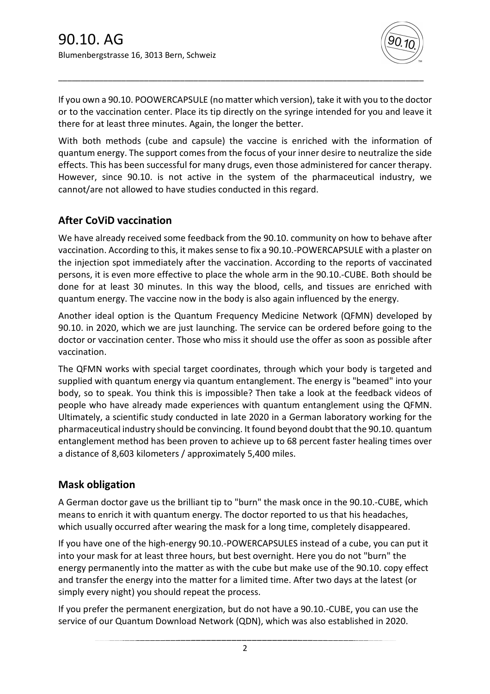

If you own a 90.10. POOWERCAPSULE (no matter which version), take it with you to the doctor or to the vaccination center. Place its tip directly on the syringe intended for you and leave it there for at least three minutes. Again, the longer the better.

\_\_\_\_\_\_\_\_\_\_\_\_\_\_\_\_\_\_\_\_\_\_\_\_\_\_\_\_\_\_\_\_\_\_\_\_\_\_\_\_\_\_\_\_\_\_\_\_\_\_\_\_\_\_\_\_\_\_\_\_\_\_\_\_\_\_\_\_\_\_\_\_\_\_\_\_\_\_\_\_\_

With both methods (cube and capsule) the vaccine is enriched with the information of quantum energy. The support comes from the focus of your inner desire to neutralize the side effects. This has been successful for many drugs, even those administered for cancer therapy. However, since 90.10. is not active in the system of the pharmaceutical industry, we cannot/are not allowed to have studies conducted in this regard.

## **After CoViD vaccination**

We have already received some feedback from the 90.10. community on how to behave after vaccination. According to this, it makes sense to fix a 90.10.-POWERCAPSULE with a plaster on the injection spot immediately after the vaccination. According to the reports of vaccinated persons, it is even more effective to place the whole arm in the 90.10.-CUBE. Both should be done for at least 30 minutes. In this way the blood, cells, and tissues are enriched with quantum energy. The vaccine now in the body is also again influenced by the energy.

Another ideal option is the Quantum Frequency Medicine Network (QFMN) developed by 90.10. in 2020, which we are just launching. The service can be ordered before going to the doctor or vaccination center. Those who miss it should use the offer as soon as possible after vaccination.

The QFMN works with special target coordinates, through which your body is targeted and supplied with quantum energy via quantum entanglement. The energy is "beamed" into your body, so to speak. You think this is impossible? Then take a look at the feedback videos of people who have already made experiences with quantum entanglement using the QFMN. Ultimately, a scientific study conducted in late 2020 in a German laboratory working for the pharmaceutical industry should be convincing. It found beyond doubt that the 90.10. quantum entanglement method has been proven to achieve up to 68 percent faster healing times over a distance of 8,603 kilometers / approximately 5,400 miles.

## **Mask obligation**

A German doctor gave us the brilliant tip to "burn" the mask once in the 90.10.-CUBE, which means to enrich it with quantum energy. The doctor reported to us that his headaches, which usually occurred after wearing the mask for a long time, completely disappeared.

If you have one of the high-energy 90.10.-POWERCAPSULES instead of a cube, you can put it into your mask for at least three hours, but best overnight. Here you do not "burn" the energy permanently into the matter as with the cube but make use of the 90.10. copy effect and transfer the energy into the matter for a limited time. After two days at the latest (or simply every night) you should repeat the process.

If you prefer the permanent energization, but do not have a 90.10.-CUBE, you can use the service of our Quantum Download Network (QDN), which was also established in 2020.